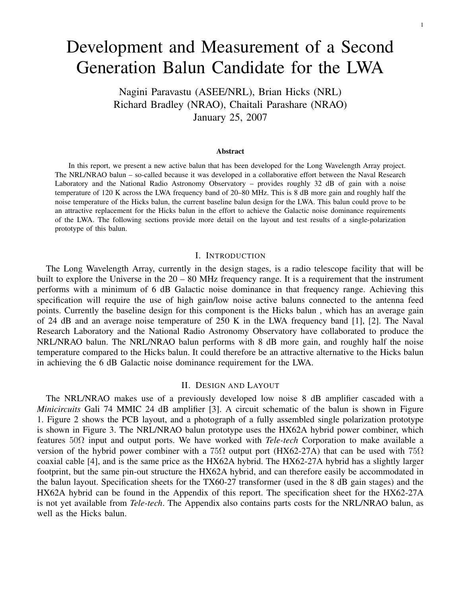# Development and Measurement of a Second Generation Balun Candidate for the LWA

Nagini Paravastu (ASEE/NRL), Brian Hicks (NRL) Richard Bradley (NRAO), Chaitali Parashare (NRAO) January 25, 2007

#### Abstract

In this report, we present a new active balun that has been developed for the Long Wavelength Array project. The NRL/NRAO balun – so-called because it was developed in a collaborative effort between the Naval Research Laboratory and the National Radio Astronomy Observatory – provides roughly 32 dB of gain with a noise temperature of 120 K across the LWA frequency band of 20–80 MHz. This is 8 dB more gain and roughly half the noise temperature of the Hicks balun, the current baseline balun design for the LWA. This balun could prove to be an attractive replacement for the Hicks balun in the effort to achieve the Galactic noise dominance requirements of the LWA. The following sections provide more detail on the layout and test results of a single-polarization prototype of this balun.

# I. INTRODUCTION

The Long Wavelength Array, currently in the design stages, is a radio telescope facility that will be built to explore the Universe in the 20 – 80 MHz frequency range. It is a requirement that the instrument performs with a minimum of 6 dB Galactic noise dominance in that frequency range. Achieving this specification will require the use of high gain/low noise active baluns connected to the antenna feed points. Currently the baseline design for this component is the Hicks balun , which has an average gain of 24 dB and an average noise temperature of 250 K in the LWA frequency band [1], [2]. The Naval Research Laboratory and the National Radio Astronomy Observatory have collaborated to produce the NRL/NRAO balun. The NRL/NRAO balun performs with 8 dB more gain, and roughly half the noise temperature compared to the Hicks balun. It could therefore be an attractive alternative to the Hicks balun in achieving the 6 dB Galactic noise dominance requirement for the LWA.

# II. DESIGN AND LAYOUT

The NRL/NRAO makes use of a previously developed low noise 8 dB amplifier cascaded with a *Minicircuits* Gali 74 MMIC 24 dB amplifier [3]. A circuit schematic of the balun is shown in Figure 1. Figure 2 shows the PCB layout, and a photograph of a fully assembled single polarization prototype is shown in Figure 3. The NRL/NRAO balun prototype uses the HX62A hybrid power combiner, which features 50Ω input and output ports. We have worked with *Tele-tech* Corporation to make available a version of the hybrid power combiner with a 75 $\Omega$  output port (HX62-27A) that can be used with 75 $\Omega$ coaxial cable [4], and is the same price as the HX62A hybrid. The HX62-27A hybrid has a slightly larger footprint, but the same pin-out structure the HX62A hybrid, and can therefore easily be accommodated in the balun layout. Specification sheets for the TX60-27 transformer (used in the 8 dB gain stages) and the HX62A hybrid can be found in the Appendix of this report. The specification sheet for the HX62-27A is not yet available from *Tele-tech*. The Appendix also contains parts costs for the NRL/NRAO balun, as well as the Hicks balun.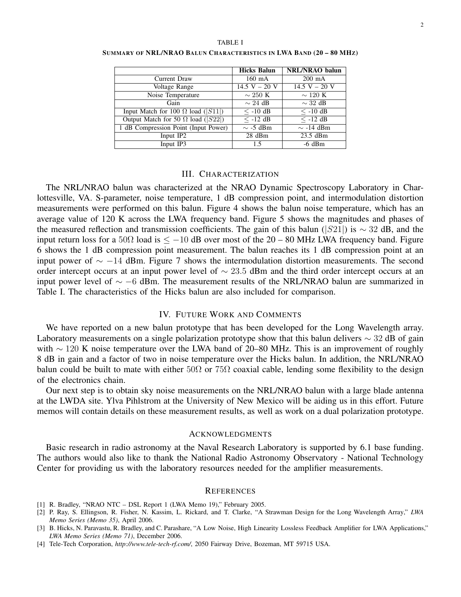|                                           | <b>Hicks Balun</b> | <b>NRL/NRAO</b> balun |
|-------------------------------------------|--------------------|-----------------------|
| Current Draw                              | $160$ mA           | $200 \text{ mA}$      |
| Voltage Range                             | $14.5 V - 20 V$    | $14.5 V - 20 V$       |
| Noise Temperature                         | $\sim 250$ K       | $\sim$ 120 K          |
| Gain                                      | $\sim 24$ dB       | $\sim$ 32 dB          |
| Input Match for 100 $\Omega$ load ([S11]) | $\leq$ -10 dB      | $\leq$ -10 dB         |
| Output Match for 50 $\Omega$ load ( S22 ) | $<$ -12 dB         | $\leq$ -12 dB         |
| 1 dB Compression Point (Input Power)      | $\sim$ -5 dBm      | $\sim$ -14 dBm        |
| Input IP2                                 | $28$ dBm           | $23.5$ dBm            |
| Input IP3                                 | 1.5                | $-6$ dBm              |

SUMMARY OF NRL/NRAO BALUN CHARACTERISTICS IN LWA BAND (20 – 80 MHZ)

# III. CHARACTERIZATION

The NRL/NRAO balun was characterized at the NRAO Dynamic Spectroscopy Laboratory in Charlottesville, VA. S-parameter, noise temperature, 1 dB compression point, and intermodulation distortion measurements were performed on this balun. Figure 4 shows the balun noise temperature, which has an average value of 120 K across the LWA frequency band. Figure 5 shows the magnitudes and phases of the measured reflection and transmission coefficients. The gain of this balun ( $|S21|$ ) is ~ 32 dB, and the input return loss for a 50 $\Omega$  load is  $\leq -10$  dB over most of the 20 – 80 MHz LWA frequency band. Figure 6 shows the 1 dB compression point measurement. The balun reaches its 1 dB compression point at an input power of ∼ −14 dBm. Figure 7 shows the intermodulation distortion measurements. The second order intercept occurs at an input power level of  $\sim$  23.5 dBm and the third order intercept occurs at an input power level of  $\sim$  −6 dBm. The measurement results of the NRL/NRAO balun are summarized in Table I. The characteristics of the Hicks balun are also included for comparison.

# IV. FUTURE WORK AND COMMENTS

We have reported on a new balun prototype that has been developed for the Long Wavelength array. Laboratory measurements on a single polarization prototype show that this balun delivers  $\sim$  32 dB of gain with  $\sim$  120 K noise temperature over the LWA band of 20–80 MHz. This is an improvement of roughly 8 dB in gain and a factor of two in noise temperature over the Hicks balun. In addition, the NRL/NRAO balun could be built to mate with either  $50\Omega$  or  $75\Omega$  coaxial cable, lending some flexibility to the design of the electronics chain.

Our next step is to obtain sky noise measurements on the NRL/NRAO balun with a large blade antenna at the LWDA site. Ylva Pihlstrom at the University of New Mexico will be aiding us in this effort. Future memos will contain details on these measurement results, as well as work on a dual polarization prototype.

## ACKNOWLEDGMENTS

Basic research in radio astronomy at the Naval Research Laboratory is supported by 6.1 base funding. The authors would also like to thank the National Radio Astronomy Observatory - National Technology Center for providing us with the laboratory resources needed for the amplifier measurements.

#### **REFERENCES**

- [1] R. Bradley, "NRAO NTC DSL Report 1 (LWA Memo 19)," February 2005.
- [2] P. Ray, S. Ellingson, R. Fisher, N. Kassim, L. Rickard, and T. Clarke, "A Strawman Design for the Long Wavelength Array," *LWA Memo Series (Memo 35)*, April 2006.
- [3] B. Hicks, N. Paravastu, R. Bradley, and C. Parashare, "A Low Noise, High Linearity Lossless Feedback Amplifier for LWA Applications," *LWA Memo Series (Memo 71)*, December 2006.
- [4] Tele-Tech Corporation, *http://www.tele-tech-rf.com/*, 2050 Fairway Drive, Bozeman, MT 59715 USA.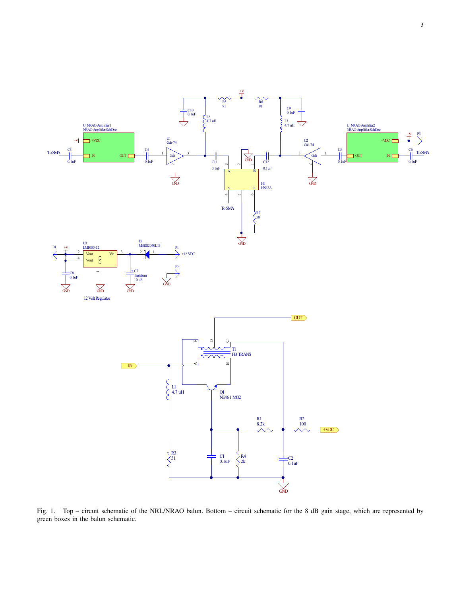

Fig. 1. Top – circuit schematic of the NRL/NRAO balun. Bottom – circuit schematic for the 8 dB gain stage, which are represented by green boxes in the balun schematic.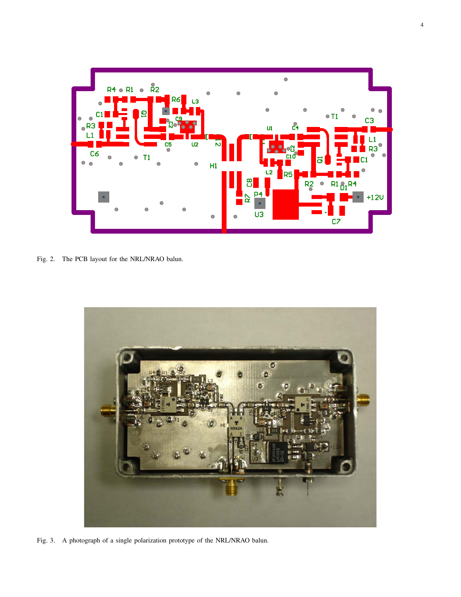

Fig. 2. The PCB layout for the NRL/NRAO balun.



Fig. 3. A photograph of a single polarization prototype of the NRL/NRAO balun.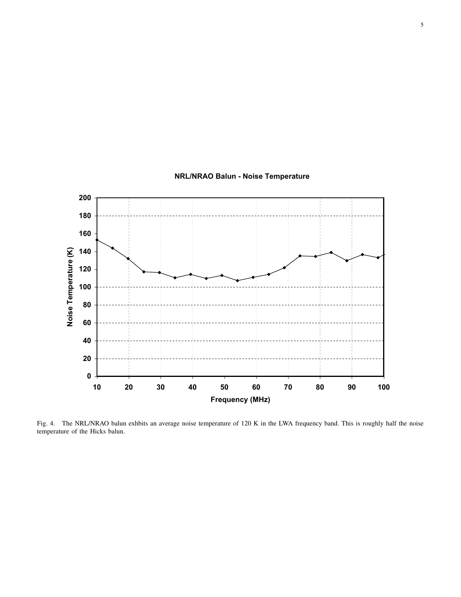

# **NRL/NRAO Balun - Noise Temperature**

Fig. 4. The NRL/NRAO balun exhbits an average noise temperature of 120 K in the LWA frequency band. This is roughly half the noise temperature of the Hicks balun.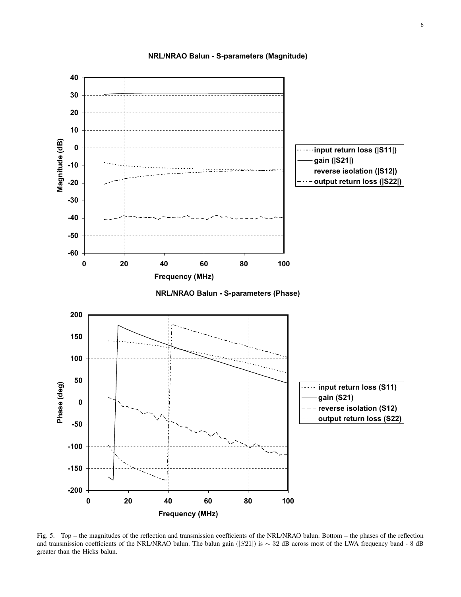

**NRL/NRAO Balun - S-parameters (Magnitude)**

Fig. 5. Top – the magnitudes of the reflection and transmission coefficients of the NRL/NRAO balun. Bottom – the phases of the reflection and transmission coefficients of the NRL/NRAO balun. The balun gain (|S21|) is ∼ 32 dB across most of the LWA frequency band - 8 dB greater than the Hicks balun.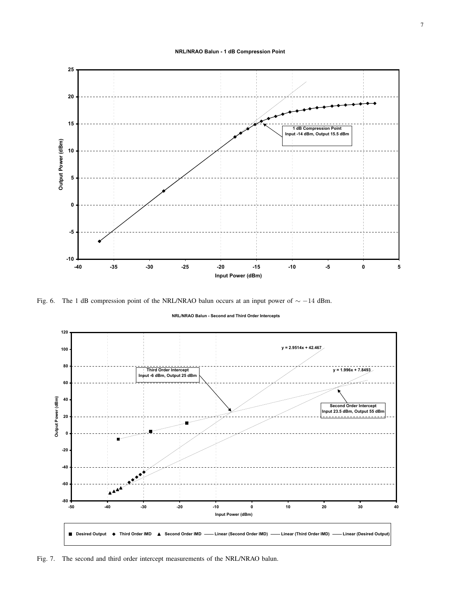**NRL/NRAO Balun - 1 dB Compression Point**



Fig. 6. The 1 dB compression point of the NRL/NRAO balun occurs at an input power of ∼ −14 dBm.

**NRL/NRAO Balun - Second and Third Order Intercepts**



Fig. 7. The second and third order intercept measurements of the NRL/NRAO balun.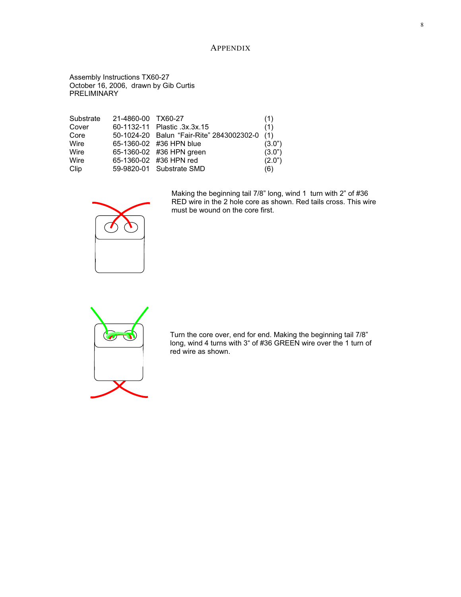# APPENDIX

Assembly Instructions TX60-27 October 16, 2006, drawn by Gib Curtis **PRELIMINARY** 

| Substrate | 21-4860-00 TX60-27 |                                           | (1)    |
|-----------|--------------------|-------------------------------------------|--------|
| Cover     |                    | 60-1132-11 Plastic .3x.3x.15              | (1)    |
| Core      |                    | 50-1024-20 Balun "Fair-Rite" 2843002302-0 | (1)    |
| Wire      |                    | 65-1360-02 #36 HPN blue                   | (3.0") |
| Wire      |                    | 65-1360-02 #36 HPN green                  | (3.0") |
| Wire      |                    | 65-1360-02 #36 HPN red                    | (2.0") |
| Clip      |                    | 59-9820-01 Substrate SMD                  | (6)    |



Making the beginning tail 7/8" long, wind 1 turn with 2" of #36 RED wire in the 2 hole core as shown. Red tails cross. This wire must be wound on the core first.



Turn the core over, end for end. Making the beginning tail 7/8" long, wind 4 turns with 3" of #36 GREEN wire over the 1 turn of red wire as shown.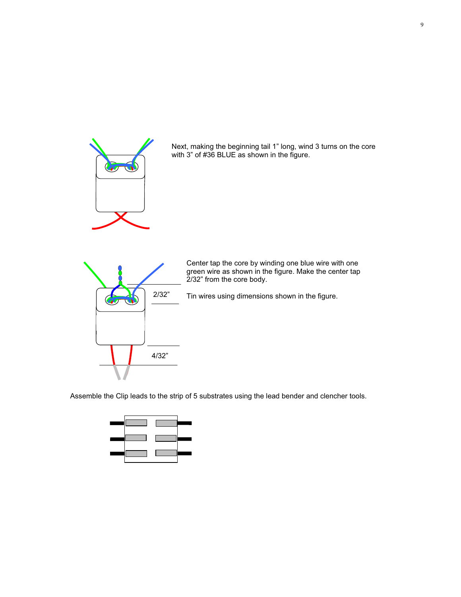

Next, making the beginning tail 1" long, wind 3 turns on the core with 3" of #36 BLUE as shown in the figure.



Center tap the core by winding one blue wire with one green wire as shown in the figure. Make the center tap 2/32" from the core body.

Tin wires using dimensions shown in the figure.

Assemble the Clip leads to the strip of 5 substrates using the lead bender and clencher tools.

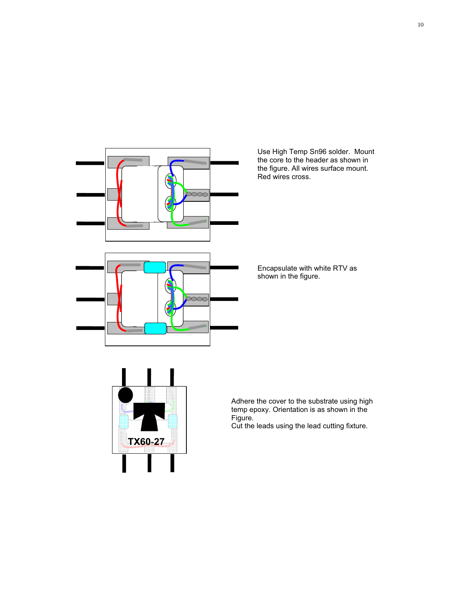

Use High Temp Sn96 solder. Mount the core to the header as shown in the figure. All wires surface mount. Red wires cross.

Encapsulate with white RTV as shown in the figure.



Adhere the cover to the substrate using high temp epoxy. Orientation is as shown in the Figure.

Cut the leads using the lead cutting fixture.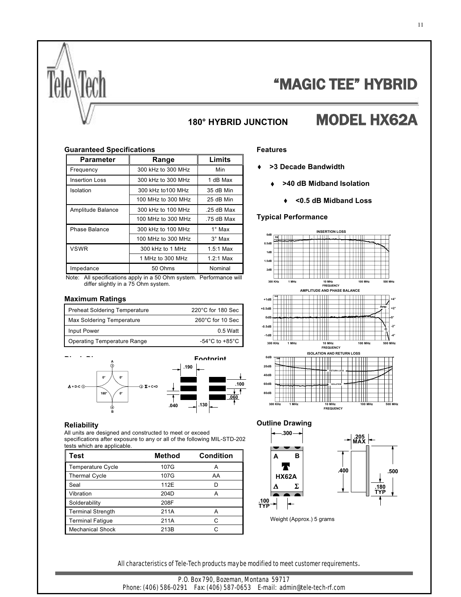

# "MAGIC TEE" HYBRID

# **180° HYBRID JUNCTION** MODEL HX62A

## **Guaranteed Specifications**

| Parameter             | Range              | Limits        |
|-----------------------|--------------------|---------------|
| Frequency             | 300 kHz to 300 MHz | Min           |
| <b>Insertion Loss</b> | 300 kHz to 300 MHz | 1 dB Max      |
| Isolation             | 300 kHz to 100 MHz | 35 dB Min     |
|                       | 100 MHz to 300 MHz | 25 dB Min     |
| Amplitude Balance     | 300 kHz to 100 MHz | $.25$ dB Max  |
|                       | 100 MHz to 300 MHz | .75 dB Max    |
| Phase Balance         | 300 kHz to 100 MHz | $1^\circ$ Max |
|                       | 100 MHz to 300 MHz | $3^\circ$ Max |
| <b>VSWR</b>           | 300 kHz to 1 MHz   | $1.5:1$ Max   |
|                       | 1 MHz to 300 MHz   | $1.2:1$ Max   |
| Impedance             | 50 Ohms            | Nominal       |

 Note: All specifications apply in a 50 Ohm system. Performance will differ slightly in a 75 Ohm system.

## **Maximum Ratings**

| <b>Preheat Soldering Temperature</b> | 220°C for 180 Sec                    |
|--------------------------------------|--------------------------------------|
| Max Soldering Temperature            | 260°C for 10 Sec                     |
| Input Power                          | $0.5$ Watt                           |
| Operating Temperature Range          | -54 $^{\circ}$ C to +85 $^{\circ}$ C |



#### **Reliability**

All units are designed and constructed to meet or exceed specifications after exposure to any or all of the following MIL-STD-202 tests which are applicable.

| Test                     | Method | <b>Condition</b> |
|--------------------------|--------|------------------|
| Temperature Cycle        | 107G   | A                |
| <b>Thermal Cycle</b>     | 107G   | AA               |
| Seal                     | 112F   | D                |
| Vibration                | 204D   | А                |
| Solderability            | 208F   |                  |
| <b>Terminal Strength</b> | 211A   | А                |
| <b>Terminal Fatique</b>  | 211A   | C                |
| <b>Mechanical Shock</b>  | 213B   | r.               |

# **Features**

- **>3 Decade Bandwidth**
	- **>40 dB Midband Isolation**
		- **<0.5 dB Midband Loss**  $\bullet$

### **Typical Performance**







Weight (Approx.) 5 grams

All characteristics of Tele-Tech products may be modified to meet customer requirements.

P.O. Box 790, Bozeman, Montana 59717 Phone: (406) 586-0291 Fax: (406) 587-0653 E-mail: admin@tele-tech-rf.com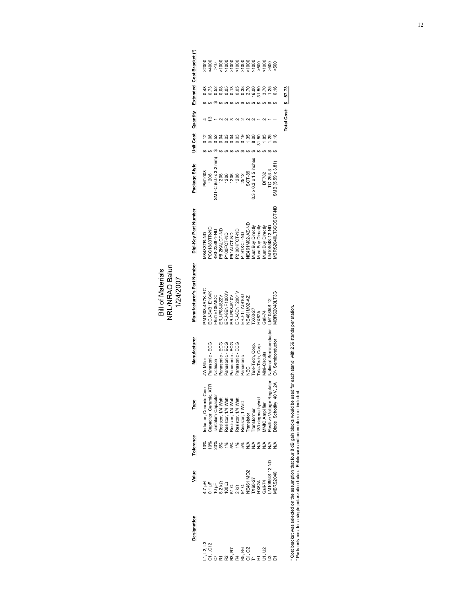Bill of Materials<br>NRL/NRAO Balun<br>1/24/2007 NRL/NRAO Balun Bill of Materials 1/24/2007

| Designation         | Value                                                                                                                                                                                                                                                                                                               | <b>Lolerance</b> | Type                      | Manufacturer                       | Manufacturer's Part Number      | Digi-Key Part Number                                        | Package Style                                                                                                 | Unit Cost | Quantity    |                   | Extended Cost Bracket (*) |
|---------------------|---------------------------------------------------------------------------------------------------------------------------------------------------------------------------------------------------------------------------------------------------------------------------------------------------------------------|------------------|---------------------------|------------------------------------|---------------------------------|-------------------------------------------------------------|---------------------------------------------------------------------------------------------------------------|-----------|-------------|-------------------|---------------------------|
| 1, L2, L3<br>71…C12 |                                                                                                                                                                                                                                                                                                                     |                  | Inductor, Ceramic Core    | <b>JW Miller</b>                   | <b>DA-XK14P-8001Mc</b>          | 18483TR-ND                                                  |                                                                                                               |           |             |                   |                           |
|                     |                                                                                                                                                                                                                                                                                                                     |                  | Capacitor, Ceramic, X7R   |                                    | ECJ-3VB1E104K                   |                                                             |                                                                                                               |           |             |                   |                           |
|                     |                                                                                                                                                                                                                                                                                                                     |                  | <b>Tantalum Capacitor</b> | Panasonic - ECG<br>Nichicon        | -931E106MCC                     |                                                             |                                                                                                               |           |             |                   |                           |
|                     | $\begin{array}{l} 4.21 \pm 1.1 \\ 1.1 \pm 1.1 \\ 1.1 \pm 1.1 \\ 1.1 \pm 1.1 \\ 1.1 \pm 1.1 \\ 1.1 \pm 1.1 \\ 1.1 \pm 1.1 \\ 1.1 \pm 1.1 \\ 1.1 \pm 1.1 \\ 1.1 \pm 1.1 \\ 1.1 \pm 1.1 \\ 1.1 \pm 1.1 \\ 1.1 \pm 1.1 \\ 1.1 \pm 1.1 \\ 1.1 \pm 1.1 \\ 1.1 \pm 1.1 \\ 1.1 \pm 1.1 \\ 1.1 \pm 1.1 \\ 1.1 \pm 1.1 \\ 1.$ |                  | Resistor, 1/4 Watt        | Panasonic - ECG                    | ERJ-P08J822V                    | PCC1883TR-ND<br>493-2388-1-ND<br>P8.2KALCT-ND<br>P100FCT-ND | M/1008<br>SMT-C (6.0 x 3.2 mm)<br>1206<br>1206<br>1206<br>1206<br>1503 x 1.5 inches<br>0.3 x 0.3 x 1.5 inches |           |             |                   |                           |
|                     |                                                                                                                                                                                                                                                                                                                     |                  | tesistor, 1/4 Watt        | Panasonic - ECG                    | ERJ-8ENF1000\                   |                                                             |                                                                                                               |           |             |                   |                           |
|                     |                                                                                                                                                                                                                                                                                                                     |                  | Resistor, 1/4 Watt        |                                    | ERJ-P08J510V                    |                                                             |                                                                                                               |           |             |                   |                           |
|                     |                                                                                                                                                                                                                                                                                                                     |                  | Resistor, 1/4 Watt        | Panasonic - ECG<br>Panasonic - ECG | ERJ-8ENF2001\                   | P51ALCT-ND<br>P2.00KFCT-ND                                  |                                                                                                               |           |             |                   |                           |
|                     |                                                                                                                                                                                                                                                                                                                     |                  | kesistor, 1 Watt          | Panasonic                          | ERJ-1TYJ910U                    | T91XCT-ND                                                   |                                                                                                               |           |             |                   |                           |
| あい<br>あいこと<br>あいこと  |                                                                                                                                                                                                                                                                                                                     |                  | Transistor                |                                    |                                 | <b>JE461M02-AZ-ND</b>                                       |                                                                                                               |           |             |                   |                           |
|                     | X60-27                                                                                                                                                                                                                                                                                                              |                  | ransformer                | Tele-Tech, Corp.                   | NE461M02-AZ<br>TX60-27<br>HX62A | ust Buy Directly                                            |                                                                                                               |           |             |                   |                           |
|                     | IX62A                                                                                                                                                                                                                                                                                                               |                  | 80 degree hybrid          | Tele-Tech, Corp.                   |                                 | ust Buy Directly                                            |                                                                                                               |           |             |                   |                           |
|                     | Gali-74                                                                                                                                                                                                                                                                                                             | $\frac{4}{2}$    | <b>IMIC Amplifier</b>     | ini-Circuits                       | Sali-74                         | lust Buy Directly                                           |                                                                                                               |           |             |                   |                           |
|                     | M1085IS-12-ND                                                                                                                                                                                                                                                                                                       |                  | ositive Voltage Regulato  | National Semiconductor             | M1085IS-12                      | V1085IS-12-ND                                               | DF782<br>TO-263-3                                                                                             |           |             |                   |                           |
|                     | <b>IBRS2040</b>                                                                                                                                                                                                                                                                                                     |                  | liode, Schottky, 40 V, 2/ | <b>JN Semiconductor</b>            | <b>IBRS2040LT3C</b>             | IBRS2040LT3GOSCT-ND                                         | SMB (5.59 x 3.81                                                                                              |           |             |                   |                           |
|                     |                                                                                                                                                                                                                                                                                                                     |                  |                           |                                    |                                 |                                                             |                                                                                                               |           | Total Cost: | $\frac{57.73}{ }$ |                           |
|                     |                                                                                                                                                                                                                                                                                                                     |                  |                           |                                    |                                 |                                                             |                                                                                                               |           |             |                   |                           |

\* Cost bracket was selected on the assumption that four 8 dB gain blocks would be used for each stand, with 256 stands per station.<br>\* Parts only cost for a single polarization balun. Eniclosure and connectors not induded. \* Cost bracket was selected on the assumption that four 8 dB gain blocks would be used for each stand, with 256 stands per station.

\* Parts only cost for a single polarization balun. Enlclosure and connectors not included.